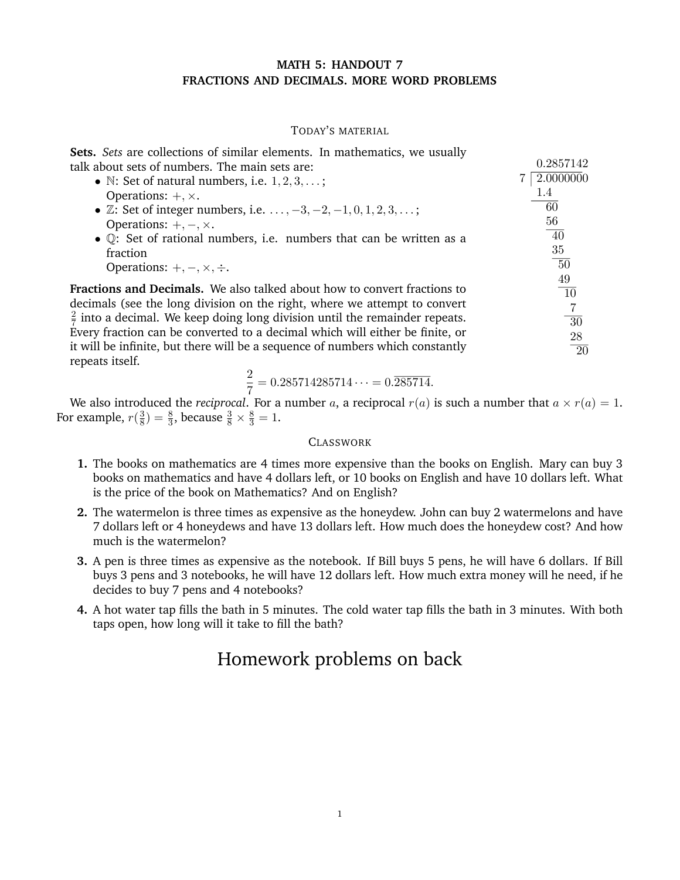## **MATH 5: HANDOUT 7 FRACTIONS AND DECIMALS. MORE WORD PROBLEMS**

### TODAY'S MATERIAL

0*.*2857142

**Sets.** *Sets* are collections of similar elements. In mathematics, we usually talk about sets of numbers. The main sets are:

| • $\mathbb{N}$ : Set of natural numbers, i.e. $1, 2, 3, \ldots$ ;<br>Operations: $+, \times$ .                                                                                                                                                                                                                                         | 2.0000000<br>1.4<br>60                  |
|----------------------------------------------------------------------------------------------------------------------------------------------------------------------------------------------------------------------------------------------------------------------------------------------------------------------------------------|-----------------------------------------|
| • $\mathbb{Z}$ : Set of integer numbers, i.e. $\dots, -3, -2, -1, 0, 1, 2, 3, \dots;$                                                                                                                                                                                                                                                  | 56                                      |
| Operations: $+, -, \times$ .                                                                                                                                                                                                                                                                                                           | 40                                      |
| • $\mathbb Q$ : Set of rational numbers, i.e. numbers that can be written as a                                                                                                                                                                                                                                                         | 35                                      |
| fraction                                                                                                                                                                                                                                                                                                                               | $-50$                                   |
| Operations: $+, -, \times, \div.$                                                                                                                                                                                                                                                                                                      | 49                                      |
| <b>Fractions and Decimals.</b> We also talked about how to convert fractions to<br>decimals (see the long division on the right, where we attempt to convert<br>$\frac{2}{7}$ into a decimal. We keep doing long division until the remainder repeats.<br>Every fraction can be converted to a decimal which will either be finite, or | $\overline{10}$<br>7<br>$\overline{30}$ |
| it will be infinite, but there will be a sequence of numbers which constantly                                                                                                                                                                                                                                                          | 28                                      |
| repeats itself.                                                                                                                                                                                                                                                                                                                        | $\overline{20}$                         |

$$
\frac{2}{7} = 0.285714285714 \cdots = 0.\overline{285714}.
$$

We also introduced the *reciprocal*. For a number *a*, a reciprocal  $r(a)$  is such a number that  $a \times r(a) = 1$ . For example,  $r(\frac{3}{8}) = \frac{8}{3}$ , because  $\frac{3}{8} \times \frac{8}{3} = 1$ .

#### **CLASSWORK**

- **1.** The books on mathematics are 4 times more expensive than the books on English. Mary can buy 3 books on mathematics and have 4 dollars left, or 10 books on English and have 10 dollars left. What is the price of the book on Mathematics? And on English?
- **2.** The watermelon is three times as expensive as the honeydew. John can buy 2 watermelons and have 7 dollars left or 4 honeydews and have 13 dollars left. How much does the honeydew cost? And how much is the watermelon?
- **3.** A pen is three times as expensive as the notebook. If Bill buys 5 pens, he will have 6 dollars. If Bill buys 3 pens and 3 notebooks, he will have 12 dollars left. How much extra money will he need, if he decides to buy 7 pens and 4 notebooks?
- **4.** A hot water tap fills the bath in 5 minutes. The cold water tap fills the bath in 3 minutes. With both taps open, how long will it take to fill the bath?

# Homework problems on back